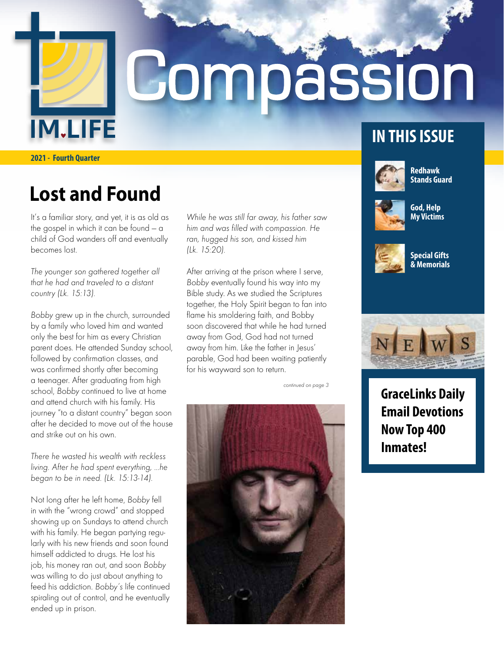### **2021 - Fourth Quarter**

**M.LIFE** 

## **Lost and Found**

It's a familiar story, and yet, it is as old as the gospel in which it can be found — a child of God wanders off and eventually becomes lost.

The younger son gathered together all that he had and traveled to a distant country (Lk. 15:13).

Bobby grew up in the church, surrounded by a family who loved him and wanted only the best for him as every Christian parent does. He attended Sunday school, followed by confirmation classes, and was confirmed shortly after becoming a teenager. After graduating from high school, Bobby continued to live at home and attend church with his family. His journey "to a distant country" began soon after he decided to move out of the house and strike out on his own.

There he wasted his wealth with reckless living. After he had spent everything, …he began to be in need. (Lk. 15:13-14).

Not long after he left home, Bobby fell in with the "wrong crowd" and stopped showing up on Sundays to attend church with his family. He began partying regularly with his new friends and soon found himself addicted to drugs. He lost his job, his money ran out, and soon Bobby was willing to do just about anything to feed his addiction. Bobby's life continued spiraling out of control, and he eventually ended up in prison.

While he was still far away, his father saw him and was filled with compassion. He ran, hugged his son, and kissed him (Lk. 15:20).

After arriving at the prison where I serve, Bobby eventually found his way into my Bible study. As we studied the Scriptures together, the Holy Spirit began to fan into flame his smoldering faith, and Bobby soon discovered that while he had turned away from God, God had not turned away from him. Like the father in Jesus' parable, God had been waiting patiently for his wayward son to return.

continued on page 3



### **IN THIS ISSUE**



Compassion

**Redhawk Stands Guard**



**God, Help My Victims**



**Special Gifts & Memorials**



**GraceLinks Daily Email Devotions Now Top 400 Inmates!**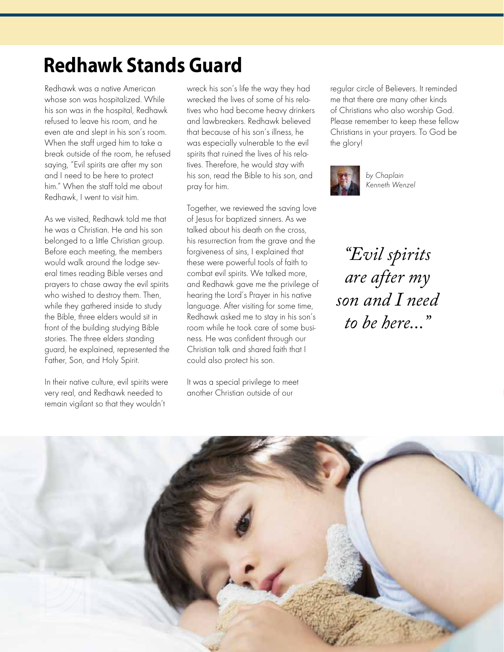## **Redhawk Stands Guard**

Redhawk was a native American whose son was hospitalized. While his son was in the hospital, Redhawk refused to leave his room, and he even ate and slept in his son's room. When the staff urged him to take a break outside of the room, he refused saying, "Evil spirits are after my son and I need to be here to protect him." When the staff told me about Redhawk, I went to visit him.

As we visited, Redhawk told me that he was a Christian. He and his son belonged to a little Christian group. Before each meeting, the members would walk around the lodge several times reading Bible verses and prayers to chase away the evil spirits who wished to destroy them. Then, while they gathered inside to study the Bible, three elders would sit in front of the building studying Bible stories. The three elders standing guard, he explained, represented the Father, Son, and Holy Spirit.

In their native culture, evil spirits were very real, and Redhawk needed to remain vigilant so that they wouldn't

wreck his son's life the way they had wrecked the lives of some of his relatives who had become heavy drinkers and lawbreakers. Redhawk believed that because of his son's illness, he was especially vulnerable to the evil spirits that ruined the lives of his relatives. Therefore, he would stay with his son, read the Bible to his son, and pray for him.

Together, we reviewed the saving love of Jesus for baptized sinners. As we talked about his death on the cross, his resurrection from the grave and the forgiveness of sins, I explained that these were powerful tools of faith to combat evil spirits. We talked more, and Redhawk gave me the privilege of hearing the Lord's Prayer in his native language. After visiting for some time, Redhawk asked me to stay in his son's room while he took care of some business. He was confident through our Christian talk and shared faith that I could also protect his son.

It was a special privilege to meet another Christian outside of our

regular circle of Believers. It reminded me that there are many other kinds of Christians who also worship God. Please remember to keep these fellow Christians in your prayers. To God be the glory!



by Chaplain Kenneth Wenzel

*"Evil spirits are after my son and I need to be here..."*

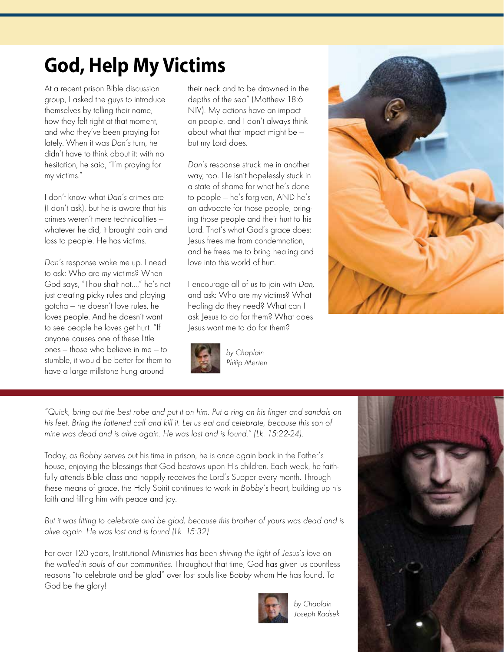# **God, Help My Victims**

At a recent prison Bible discussion group, I asked the guys to introduce themselves by telling their name, how they felt right at that moment, and who they've been praying for lately. When it was Dan's turn, he didn't have to think about it: with no hesitation, he said, "I'm praying for my victims."

I don't know what Dan's crimes are (I don't ask), but he is aware that his crimes weren't mere technicalities whatever he did, it brought pain and loss to people. He has victims.

Dan's response woke me up. I need to ask: Who are my victims? When God says, "Thou shalt not…," he's not just creating picky rules and playing gotcha — he doesn't love rules, he loves people. And he doesn't want to see people he loves get hurt. "If anyone causes one of these little ones — those who believe in me — to stumble, it would be better for them to have a large millstone hung around

their neck and to be drowned in the depths of the sea" (Matthew 18:6 NIV). My actions have an impact on people, and I don't always think about what that impact might be but my Lord does.

Dan's response struck me in another way, too. He isn't hopelessly stuck in a state of shame for what he's done to people — he's forgiven, AND he's an advocate for those people, bringing those people and their hurt to his Lord. That's what God's grace does: Jesus frees me from condemnation, and he frees me to bring healing and love into this world of hurt.

I encourage all of us to join with Dan, and ask: Who are my victims? What healing do they need? What can I ask Jesus to do for them? What does Jesus want me to do for them?



by Chaplain Philip Merten



"Quick, bring out the best robe and put it on him. Put a ring on his finger and sandals on his feet. Bring the fattened calf and kill it. Let us eat and celebrate, because this son of mine was dead and is alive again. He was lost and is found." (Lk. 15:22-24).

Today, as Bobby serves out his time in prison, he is once again back in the Father's house, enjoying the blessings that God bestows upon His children. Each week, he faithfully attends Bible class and happily receives the Lord's Supper every month. Through these means of grace, the Holy Spirit continues to work in Bobby's heart, building up his faith and filling him with peace and joy.

But it was fitting to celebrate and be glad, because this brother of yours was dead and is alive again. He was lost and is found (Lk. 15:32).

For over 120 years, Institutional Ministries has been shining the light of Jesus's love on the walled-in souls of our communities. Throughout that time, God has given us countless reasons "to celebrate and be glad" over lost souls like Bobby whom He has found. To God be the glory!



by Chaplain Joseph Radsek